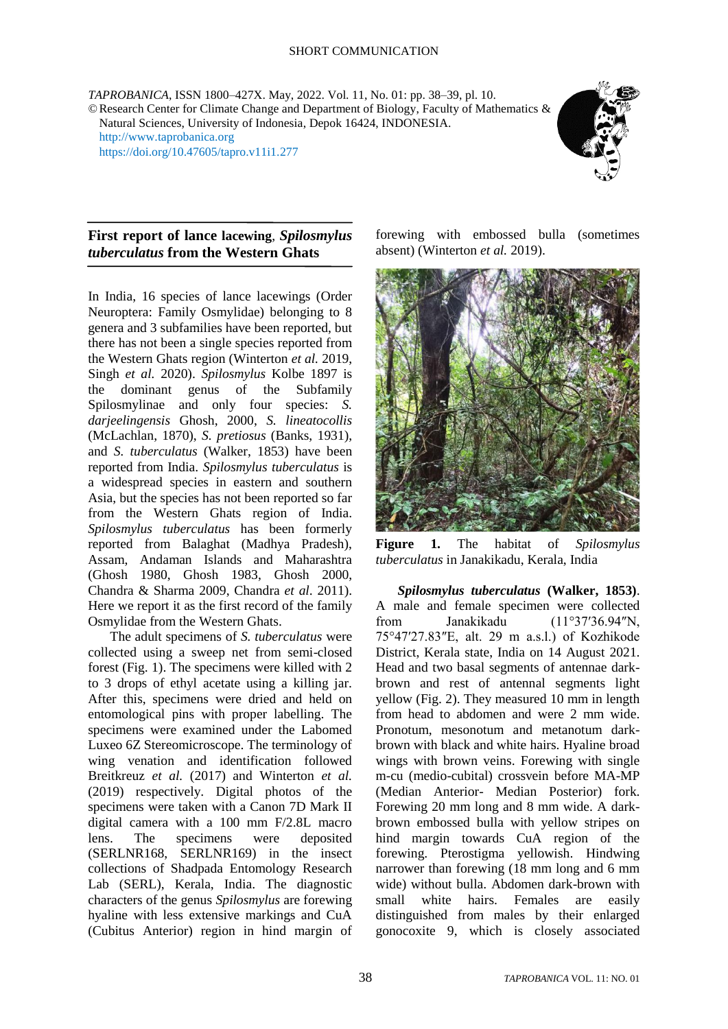*TAPROBANICA*, ISSN 1800–427X. May, 2022. Vol. 11, No. 01: pp. 38–39, pl. 10. ©Research Center for Climate Change and Department of Biology, Faculty of Mathematics & Natural Sciences, University of Indonesia, Depok 16424, INDONESIA. [http://www.taprobanica.org](http://www.taprobanica.org/) <https://doi.org/10.47605/tapro.v11i1.277>



## **First report of lance lacewing**, *Spilosmylus tuberculatus* **from the Western Ghats**

In India, 16 species of lance lacewings (Order Neuroptera: Family Osmylidae) belonging to 8 genera and 3 subfamilies have been reported, but there has not been a single species reported from the Western Ghats region (Winterton *et al.* 2019, Singh *et al.* 2020). *Spilosmylus* Kolbe 1897 is the dominant genus of the Subfamily Spilosmylinae and only four species: *S. darjeelingensis* Ghosh, 2000, *S. lineatocollis*  (McLachlan, 1870), *S. pretiosus* (Banks, 1931), and *S. tuberculatus* (Walker, 1853) have been reported from India. *Spilosmylus tuberculatus* is a widespread species in eastern and southern Asia, but the species has not been reported so far from the Western Ghats region of India. *Spilosmylus tuberculatus* has been formerly reported from Balaghat (Madhya Pradesh), Assam, Andaman Islands and Maharashtra (Ghosh 1980, Ghosh 1983, Ghosh 2000, Chandra & Sharma 2009, Chandra *et al*. 2011). Here we report it as the first record of the family Osmylidae from the Western Ghats.

The adult specimens of *S. tuberculatus* were collected using a sweep net from semi-closed forest (Fig. 1). The specimens were killed with 2 to 3 drops of ethyl acetate using a killing jar. After this, specimens were dried and held on entomological pins with proper labelling. The specimens were examined under the Labomed Luxeo 6Z Stereomicroscope. The terminology of wing venation and identification followed Breitkreuz *et al.* (2017) and Winterton *et al.* (2019) respectively. Digital photos of the specimens were taken with a Canon 7D Mark II digital camera with a 100 mm F/2.8L macro lens. The specimens were deposited (SERLNR168, SERLNR169) in the insect collections of Shadpada Entomology Research Lab (SERL), Kerala, India. The diagnostic characters of the genus *Spilosmylus* are forewing hyaline with less extensive markings and CuA (Cubitus Anterior) region in hind margin of

forewing with embossed bulla (sometimes absent) (Winterton *et al.* 2019).



**Figure 1.** The habitat of *Spilosmylus tuberculatus* in Janakikadu, Kerala, India

*Spilosmylus tuberculatus* **(Walker, 1853)**. A male and female specimen were collected from Janakikadu (11°37′36.94″N, 75°47′27.83″E, alt. 29 m a.s.l.) of Kozhikode District, Kerala state, India on 14 August 2021. Head and two basal segments of antennae darkbrown and rest of antennal segments light yellow (Fig. 2). They measured 10 mm in length from head to abdomen and were 2 mm wide. Pronotum, mesonotum and metanotum darkbrown with black and white hairs. Hyaline broad wings with brown veins. Forewing with single m-cu (medio-cubital) crossvein before MA-MP (Median Anterior- Median Posterior) fork. Forewing 20 mm long and 8 mm wide. A darkbrown embossed bulla with yellow stripes on hind margin towards CuA region of the forewing. Pterostigma yellowish. Hindwing narrower than forewing (18 mm long and 6 mm wide) without bulla. Abdomen dark-brown with small white hairs. Females are easily distinguished from males by their enlarged gonocoxite 9, which is closely associated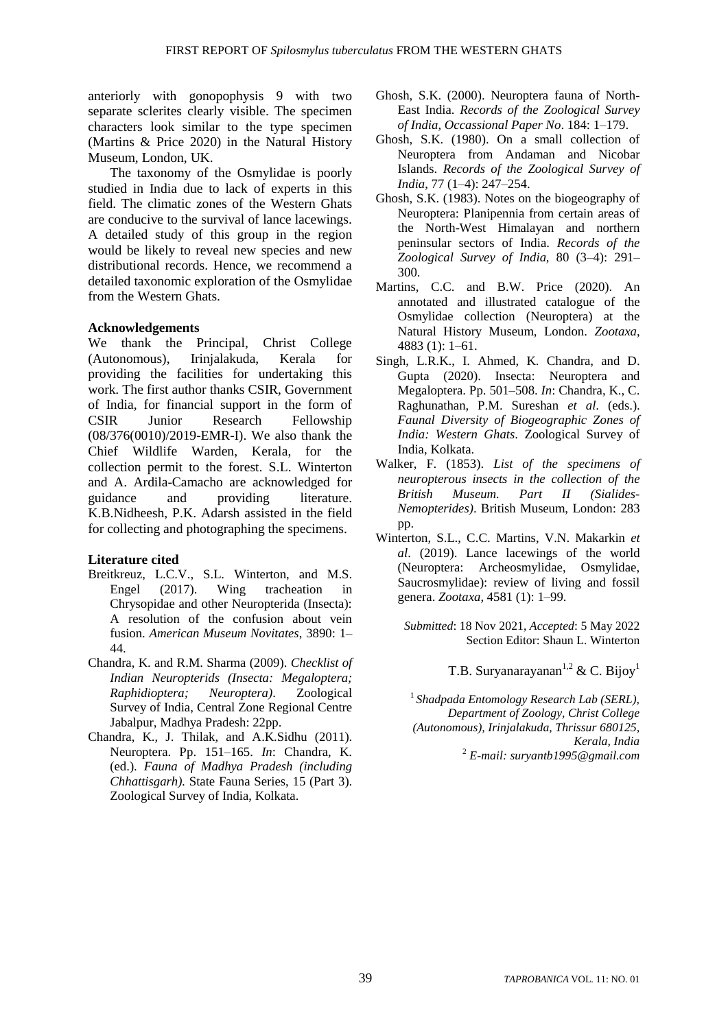anteriorly with gonopophysis 9 with two separate sclerites clearly visible. The specimen characters look similar to the type specimen (Martins & Price 2020) in the Natural History Museum, London, UK.

The taxonomy of the Osmylidae is poorly studied in India due to lack of experts in this field. The climatic zones of the Western Ghats are conducive to the survival of lance lacewings. A detailed study of this group in the region would be likely to reveal new species and new distributional records. Hence, we recommend a detailed taxonomic exploration of the Osmylidae from the Western Ghats.

## **Acknowledgements**

We thank the Principal, Christ College (Autonomous), Irinjalakuda, Kerala for providing the facilities for undertaking this work. The first author thanks CSIR, Government of India, for financial support in the form of CSIR Junior Research Fellowship (08/376(0010)/2019-EMR-I). We also thank the Chief Wildlife Warden, Kerala, for the collection permit to the forest. S.L. Winterton and A. Ardila-Camacho are acknowledged for guidance and providing literature. K.B.Nidheesh, P.K. Adarsh assisted in the field for collecting and photographing the specimens.

## **Literature cited**

- Breitkreuz, L.C.V., S.L. Winterton, and M.S. Engel (2017). Wing tracheation in Chrysopidae and other Neuropterida (Insecta): A resolution of the confusion about vein fusion. *American Museum Novitates*, 3890: 1– 44.
- Chandra, K. and R.M. Sharma (2009). *Checklist of Indian Neuropterids (Insecta: Megaloptera; Raphidioptera; Neuroptera)*. Zoological Survey of India, Central Zone Regional Centre Jabalpur, Madhya Pradesh: 22pp.
- Chandra, K., J. Thilak, and A.K.Sidhu (2011). Neuroptera. Pp. 151–165. *In*: Chandra, K. (ed.). *Fauna of Madhya Pradesh (including Chhattisgarh).* State Fauna Series, 15 (Part 3). Zoological Survey of India, Kolkata.
- Ghosh, S.K. (2000). Neuroptera fauna of North-East India. *Records of the Zoological Survey of India*, *Occassional Paper No*. 184: 1–179.
- Ghosh, S.K. (1980). On a small collection of Neuroptera from Andaman and Nicobar Islands. *Records of the Zoological Survey of India*, 77 (1–4): 247–254.
- Ghosh, S.K. (1983). Notes on the biogeography of Neuroptera: Planipennia from certain areas of the North-West Himalayan and northern peninsular sectors of India. *Records of the Zoological Survey of India*, 80 (3–4): 291– 300.
- Martins, C.C. and B.W. Price (2020). An annotated and illustrated catalogue of the Osmylidae collection (Neuroptera) at the Natural History Museum, London. *Zootaxa*, 4883 (1): 1–61.
- Singh, L.R.K., I. Ahmed, K. Chandra, and D. Gupta (2020). Insecta: Neuroptera and Megaloptera. Pp. 501–508. *In*: Chandra, K., C. Raghunathan, P.M. Sureshan *et al*. (eds.). *Faunal Diversity of Biogeographic Zones of India: Western Ghats*. Zoological Survey of India, Kolkata.
- Walker, F. (1853). *List of the specimens of neuropterous insects in the collection of the British Museum. Part II (Sialides-Nemopterides)*. British Museum, London: 283 pp.
- Winterton, S.L., C.C. Martins, V.N. Makarkin *et al*. (2019). Lance lacewings of the world (Neuroptera: Archeosmylidae, Osmylidae, Saucrosmylidae): review of living and fossil genera. *Zootaxa*, 4581 (1): 1–99.

*Submitted*: 18 Nov 2021, *Accepted*: 5 May 2022 Section Editor: Shaun L. Winterton

T.B. Suryanarayanan<sup>1,2</sup> & C. Bijoy<sup>1</sup>

1 *Shadpada Entomology Research Lab (SERL), Department of Zoology, Christ College (Autonomous), Irinjalakuda, Thrissur 680125, Kerala, India* <sup>2</sup> *E-mail: suryantb1995@gmail.com*